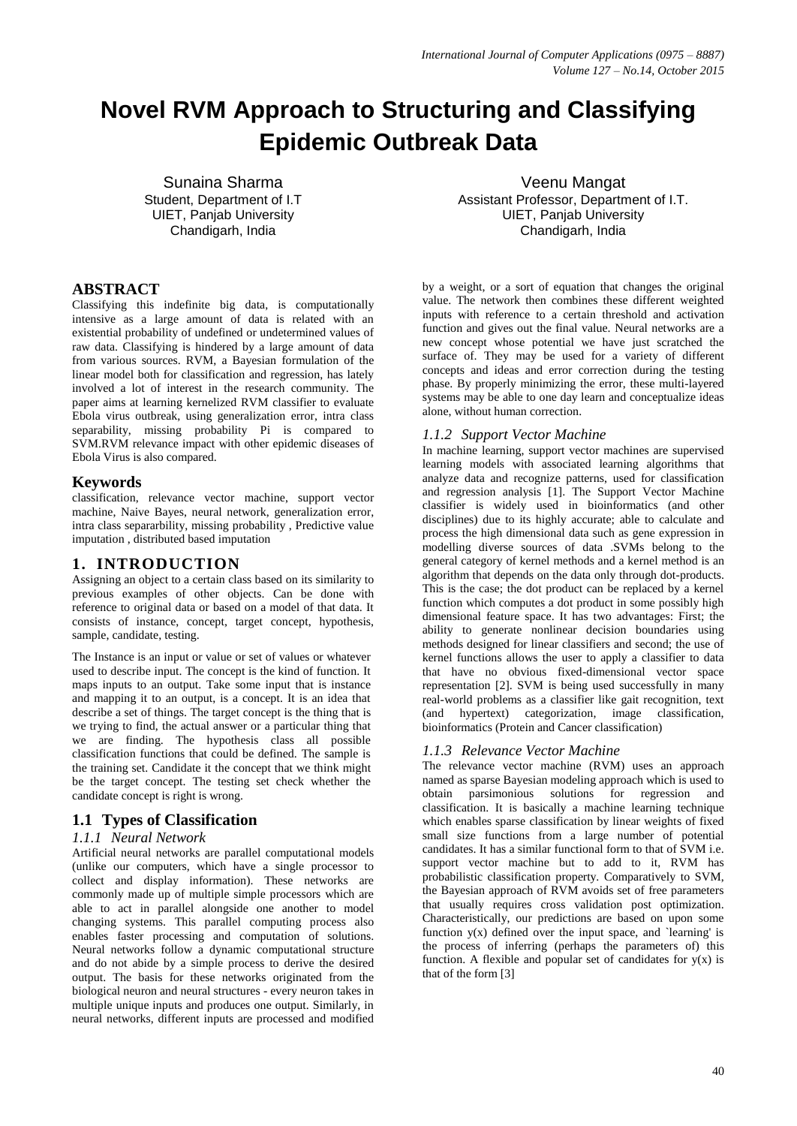# **Novel RVM Approach to Structuring and Classifying Epidemic Outbreak Data**

Sunaina Sharma Student, Department of I.T UIET, Panjab University Chandigarh, India

# **ABSTRACT**

Classifying this indefinite big data, is computationally intensive as a large amount of data is related with an existential probability of undefined or undetermined values of raw data. Classifying is hindered by a large amount of data from various sources. RVM, a Bayesian formulation of the linear model both for classification and regression, has lately involved a lot of interest in the research community. The paper aims at learning kernelized RVM classifier to evaluate Ebola virus outbreak, using generalization error, intra class separability, missing probability Pi is compared to SVM.RVM relevance impact with other epidemic diseases of Ebola Virus is also compared.

# **Keywords**

classification, relevance vector machine, support vector machine, Naive Bayes, neural network, generalization error, intra class separarbility, missing probability , Predictive value imputation , distributed based imputation

# **1. INTRODUCTION**

Assigning an object to a certain class based on its similarity to previous examples of other objects. Can be done with reference to original data or based on a model of that data. It consists of instance, concept, target concept, hypothesis, sample, candidate, testing.

The Instance is an input or value or set of values or whatever used to describe input. The concept is the kind of function. It maps inputs to an output. Take some input that is instance and mapping it to an output, is a concept. It is an idea that describe a set of things. The target concept is the thing that is we trying to find, the actual answer or a particular thing that we are finding. The hypothesis class all possible classification functions that could be defined. The sample is the training set. Candidate it the concept that we think might be the target concept. The testing set check whether the candidate concept is right is wrong.

# **1.1 Types of Classification**

#### *1.1.1 Neural Network*

Artificial neural networks are parallel computational models (unlike our computers, which have a single processor to collect and display information). These networks are commonly made up of multiple simple processors which are able to act in parallel alongside one another to model changing systems. This parallel computing process also enables faster processing and computation of solutions. Neural networks follow a dynamic computational structure and do not abide by a simple process to derive the desired output. The basis for these networks originated from the biological neuron and neural structures - every neuron takes in multiple unique inputs and produces one output. Similarly, in neural networks, different inputs are processed and modified

Veenu Mangat Assistant Professor, Department of I.T. UIET, Panjab University Chandigarh, India

by a weight, or a sort of equation that changes the original value. The network then combines these different weighted inputs with reference to a certain threshold and activation function and gives out the final value. Neural networks are a new concept whose potential we have just scratched the surface of. They may be used for a variety of different concepts and ideas and error correction during the testing phase. By properly minimizing the error, these multi-layered systems may be able to one day learn and conceptualize ideas alone, without human correction.

# *1.1.2 Support Vector Machine*

In machine learning, support vector machines are supervised learning models with associated learning algorithms that analyze data and recognize patterns, used for classification and regression analysis [1]. The Support Vector Machine classifier is widely used in bioinformatics (and other disciplines) due to its highly accurate; able to calculate and process the high dimensional data such as gene expression in modelling diverse sources of data .SVMs belong to the general category of kernel methods and a kernel method is an algorithm that depends on the data only through dot-products. This is the case; the dot product can be replaced by a kernel function which computes a dot product in some possibly high dimensional feature space. It has two advantages: First; the ability to generate nonlinear decision boundaries using methods designed for linear classifiers and second; the use of kernel functions allows the user to apply a classifier to data that have no obvious fixed-dimensional vector space representation [2]. SVM is being used successfully in many real-world problems as a classifier like gait recognition, text (and hypertext) categorization, image classification, bioinformatics (Protein and Cancer classification)

# *1.1.3 Relevance Vector Machine*

The relevance vector machine (RVM) uses an approach named as sparse Bayesian modeling approach which is used to obtain parsimonious solutions for regression and classification. It is basically a machine learning technique which enables sparse classification by linear weights of fixed small size functions from a large number of potential candidates. It has a similar functional form to that of SVM i.e. support vector machine but to add to it, RVM has probabilistic classification property. Comparatively to SVM, the Bayesian approach of RVM avoids set of free parameters that usually requires cross validation post optimization. Characteristically, our predictions are based on upon some function  $y(x)$  defined over the input space, and 'learning' is the process of inferring (perhaps the parameters of) this function. A flexible and popular set of candidates for  $y(x)$  is that of the form [3]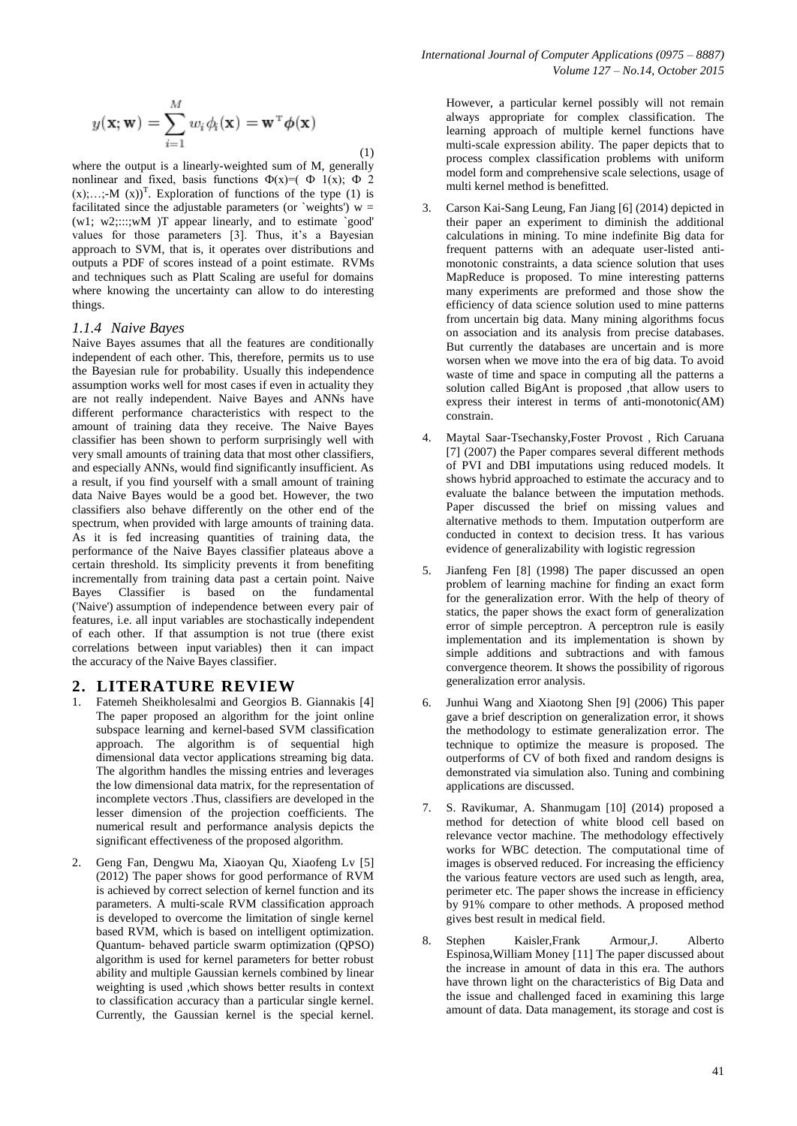$$
y(\mathbf{x}; \mathbf{w}) = \sum_{i=1}^{M} w_i \phi_i(\mathbf{x}) = \mathbf{w}^{\mathrm{T}} \phi(\mathbf{x})
$$
\n(1)

where the output is a linearly-weighted sum of M, generally nonlinear and fixed, basis functions  $\Phi(x)=(\Phi 1(x); \Phi 2)$  $(x)$ ;...;-M  $(x)$ <sup>T</sup>. Exploration of functions of the type (1) is facilitated since the adjustable parameters (or `weights')  $w =$ (w1; w2;:::;wM )T appear linearly, and to estimate `good' values for those parameters [3]. Thus, it's a Bayesian approach to SVM, that is, it operates over distributions and outputs a PDF of scores instead of a point estimate. RVMs and techniques such as Platt Scaling are useful for domains where knowing the uncertainty can allow to do interesting things.

#### *1.1.4 Naive Bayes*

Naive Bayes assumes that all the features are conditionally independent of each other. This, therefore, permits us to use the Bayesian rule for probability. Usually this independence assumption works well for most cases if even in actuality they are not really independent. Naive Bayes and ANNs have different performance characteristics with respect to the amount of training data they receive. The Naive Bayes classifier has been shown to perform surprisingly well with very small amounts of training data that most other classifiers, and especially ANNs, would find significantly insufficient. As a result, if you find yourself with a small amount of training data Naive Bayes would be a good bet. However, the two classifiers also behave differently on the other end of the spectrum, when provided with large amounts of training data. As it is fed increasing quantities of training data, the performance of the Naive Bayes classifier plateaus above a certain threshold. Its simplicity prevents it from benefiting incrementally from training data past a certain point. Naive Bayes Classifier is based on the fundamental ('Naive') assumption of independence between every pair of features, i.e. all input variables are stochastically independent of each other. If that assumption is not true (there exist correlations between input variables) then it can impact the accuracy of the Naive Bayes classifier.

#### **2. LITERATURE REVIEW**

- 1. Fatemeh Sheikholesalmi and Georgios B. Giannakis [4] The paper proposed an algorithm for the joint online subspace learning and kernel-based SVM classification approach. The algorithm is of sequential high dimensional data vector applications streaming big data. The algorithm handles the missing entries and leverages the low dimensional data matrix, for the representation of incomplete vectors .Thus, classifiers are developed in the lesser dimension of the projection coefficients. The numerical result and performance analysis depicts the significant effectiveness of the proposed algorithm.
- 2. Geng Fan, Dengwu Ma, Xiaoyan Qu, Xiaofeng Lv [5] (2012) The paper shows for good performance of RVM is achieved by correct selection of kernel function and its parameters. A multi-scale RVM classification approach is developed to overcome the limitation of single kernel based RVM, which is based on intelligent optimization. Quantum- behaved particle swarm optimization (QPSO) algorithm is used for kernel parameters for better robust ability and multiple Gaussian kernels combined by linear weighting is used ,which shows better results in context to classification accuracy than a particular single kernel. Currently, the Gaussian kernel is the special kernel.

However, a particular kernel possibly will not remain always appropriate for complex classification. The learning approach of multiple kernel functions have multi-scale expression ability. The paper depicts that to process complex classification problems with uniform model form and comprehensive scale selections, usage of multi kernel method is benefitted.

- 3. Carson Kai-Sang Leung, Fan Jiang [6] (2014) depicted in their paper an experiment to diminish the additional calculations in mining. To mine indefinite Big data for frequent patterns with an adequate user-listed antimonotonic constraints, a data science solution that uses MapReduce is proposed. To mine interesting patterns many experiments are preformed and those show the efficiency of data science solution used to mine patterns from uncertain big data. Many mining algorithms focus on association and its analysis from precise databases. But currently the databases are uncertain and is more worsen when we move into the era of big data. To avoid waste of time and space in computing all the patterns a solution called BigAnt is proposed ,that allow users to express their interest in terms of anti-monotonic(AM) constrain.
- 4. Maytal Saar-Tsechansky,Foster Provost , Rich Caruana [7] (2007) the Paper compares several different methods of PVI and DBI imputations using reduced models. It shows hybrid approached to estimate the accuracy and to evaluate the balance between the imputation methods. Paper discussed the brief on missing values and alternative methods to them. Imputation outperform are conducted in context to decision tress. It has various evidence of generalizability with logistic regression
- 5. Jianfeng Fen [8] (1998) The paper discussed an open problem of learning machine for finding an exact form for the generalization error. With the help of theory of statics, the paper shows the exact form of generalization error of simple perceptron. A perceptron rule is easily implementation and its implementation is shown by simple additions and subtractions and with famous convergence theorem. It shows the possibility of rigorous generalization error analysis.
- 6. Junhui Wang and Xiaotong Shen [9] (2006) This paper gave a brief description on generalization error, it shows the methodology to estimate generalization error. The technique to optimize the measure is proposed. The outperforms of CV of both fixed and random designs is demonstrated via simulation also. Tuning and combining applications are discussed.
- 7. S. Ravikumar, A. Shanmugam [10] (2014) proposed a method for detection of white blood cell based on relevance vector machine. The methodology effectively works for WBC detection. The computational time of images is observed reduced. For increasing the efficiency the various feature vectors are used such as length, area, perimeter etc. The paper shows the increase in efficiency by 91% compare to other methods. A proposed method gives best result in medical field.
- 8. Stephen Kaisler,Frank Armour,J. Alberto Espinosa,William Money [11] The paper discussed about the increase in amount of data in this era. The authors have thrown light on the characteristics of Big Data and the issue and challenged faced in examining this large amount of data. Data management, its storage and cost is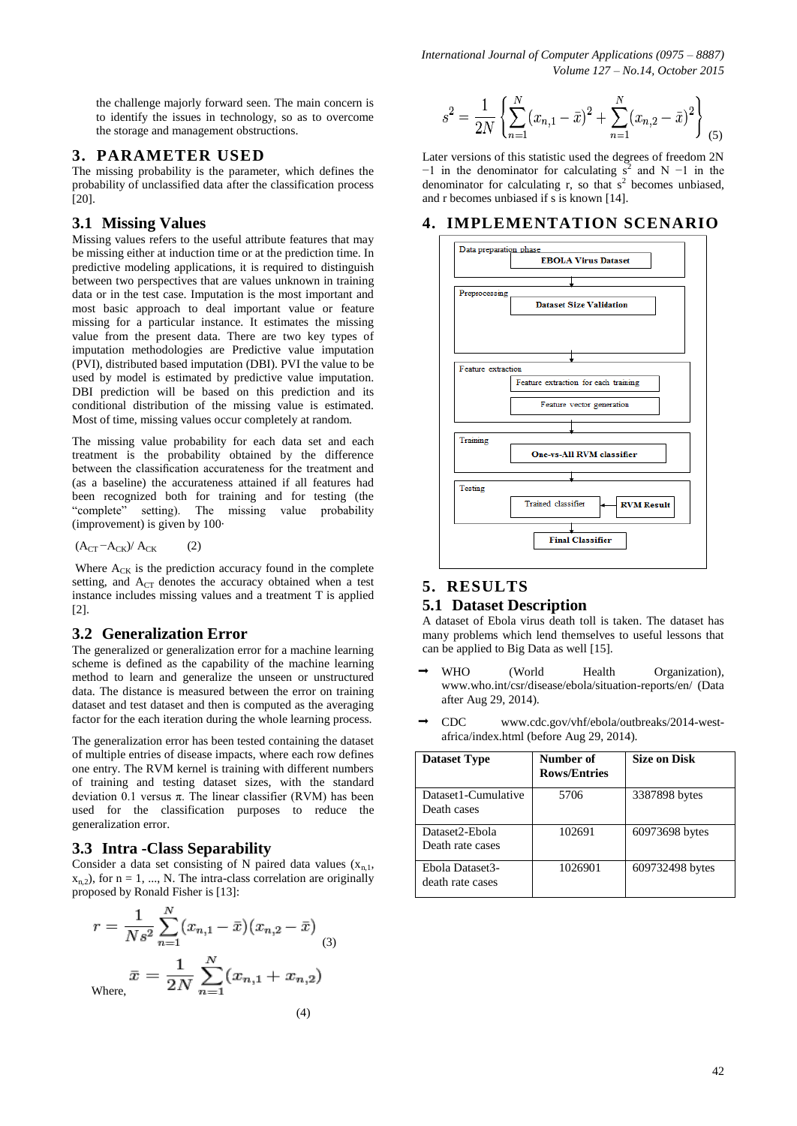*International Journal of Computer Applications (0975 – 8887) Volume 127 – No.14, October 2015*

the challenge majorly forward seen. The main concern is to identify the issues in technology, so as to overcome the storage and management obstructions.

### **3. PARAMETER USED**

The missing probability is the parameter, which defines the probability of unclassified data after the classification process [20].

#### **3.1 Missing Values**

Missing values refers to the useful attribute features that may be missing either at induction time or at the prediction time. In predictive modeling applications, it is required to distinguish between two perspectives that are values unknown in training data or in the test case. Imputation is the most important and most basic approach to deal important value or feature missing for a particular instance. It estimates the missing value from the present data. There are two key types of imputation methodologies are Predictive value imputation (PVI), distributed based imputation (DBI). PVI the value to be used by model is estimated by predictive value imputation. DBI prediction will be based on this prediction and its conditional distribution of the missing value is estimated. Most of time, missing values occur completely at random.

The missing value probability for each data set and each treatment is the probability obtained by the difference between the classification accurateness for the treatment and (as a baseline) the accurateness attained if all features had been recognized both for training and for testing (the "complete" setting). The missing value probability (improvement) is given by 100·

$$
(A_{CT} - A_{CK})/A_{CK} \qquad (2)
$$

Where  $A_{CK}$  is the prediction accuracy found in the complete setting, and  $A_{CT}$  denotes the accuracy obtained when a test instance includes missing values and a treatment T is applied [2].

#### **3.2 Generalization Error**

The generalized or generalization error for a machine learning scheme is defined as the capability of the machine learning method to learn and generalize the unseen or unstructured data. The distance is measured between the error on training dataset and test dataset and then is computed as the averaging factor for the each iteration during the whole learning process.

The generalization error has been tested containing the dataset of multiple entries of disease impacts, where each row defines one entry. The RVM kernel is training with different numbers of training and testing dataset sizes, with the standard deviation 0.1 versus π. The linear classifier (RVM) has been used for the classification purposes to reduce the generalization error.

#### **3.3 Intra -Class Separability**

Consider a data set consisting of N paired data values  $(x_{n,1},$  $x_{n,2}$ ), for  $n = 1, ..., N$ . The intra-class correlation are originally proposed by Ronald Fisher is [13]:

$$
r = \frac{1}{Ns^2} \sum_{n=1}^{N} (x_{n,1} - \bar{x})(x_{n,2} - \bar{x})
$$
  

$$
\bar{x} = \frac{1}{2N} \sum_{n=1}^{N} (x_{n,1} + x_{n,2})
$$
  
Where,

$$
s^{2} = \frac{1}{2N} \left\{ \sum_{n=1}^{N} (x_{n,1} - \bar{x})^{2} + \sum_{n=1}^{N} (x_{n,2} - \bar{x})^{2} \right\}
$$
(5)

Later versions of this statistic used the degrees of freedom 2N  $-1$  in the denominator for calculating s<sup>2</sup> and N  $-1$  in the denominator for calculating  $r$ , so that  $s^2$  becomes unbiased, and r becomes unbiased if s is known [14].

# **4. IMPLEMENTATION SCENARIO**



#### **5. RESULTS**

#### **5.1 Dataset Description**

A dataset of Ebola virus death toll is taken. The dataset has many problems which lend themselves to useful lessons that can be applied to Big Data as well [15].

- WHO (World Health Organization), www.who.int/csr/disease/ebola/situation-reports/en/ (Data after Aug 29, 2014).
- CDC www.cdc.gov/vhf/ebola/outbreaks/2014-westafrica/index.html (before Aug 29, 2014).

| <b>Dataset Type</b>                 | Number of<br><b>Rows/Entries</b> | <b>Size on Disk</b> |
|-------------------------------------|----------------------------------|---------------------|
| Dataset1-Cumulative<br>Death cases  | 5706                             | 3387898 bytes       |
| Dataset2-Ebola<br>Death rate cases  | 102691                           | 60973698 bytes      |
| Ebola Dataset3-<br>death rate cases | 1026901                          | 609732498 bytes     |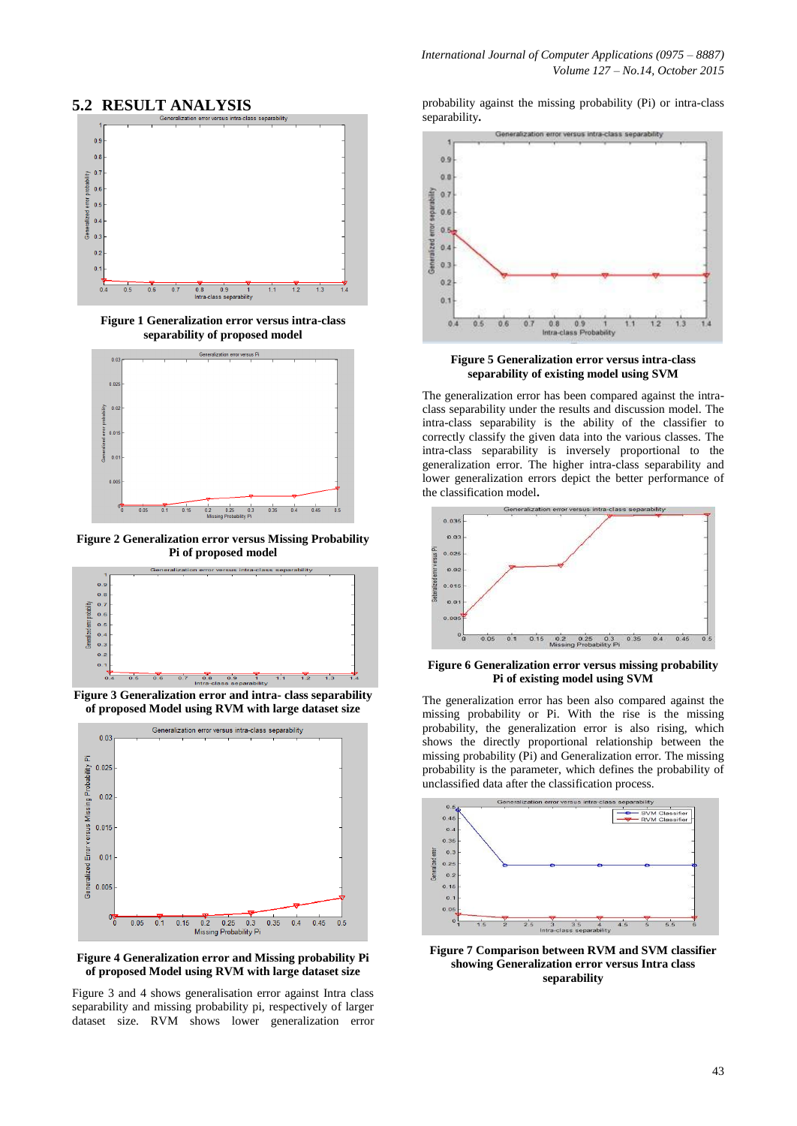# **5.2 RESULT ANALYSIS**



**Figure 1 Generalization error versus intra-class separability of proposed model**



**Figure 2 Generalization error versus Missing Probability Pi of proposed model**



**Figure 3 Generalization error and intra- class separability of proposed Model using RVM with large dataset size**



**Figure 4 Generalization error and Missing probability Pi of proposed Model using RVM with large dataset size**

Figure 3 and 4 shows generalisation error against Intra class separability and missing probability pi, respectively of larger dataset size. RVM shows lower generalization error

probability against the missing probability (Pi) or intra-class separability**.**



**Figure 5 Generalization error versus intra-class separability of existing model using SVM**

The generalization error has been compared against the intraclass separability under the results and discussion model. The intra-class separability is the ability of the classifier to correctly classify the given data into the various classes. The intra-class separability is inversely proportional to the generalization error. The higher intra-class separability and lower generalization errors depict the better performance of the classification model**.**



**Figure 6 Generalization error versus missing probability Pi of existing model using SVM**

The generalization error has been also compared against the missing probability or Pi. With the rise is the missing probability, the generalization error is also rising, which shows the directly proportional relationship between the missing probability (Pi) and Generalization error. The missing probability is the parameter, which defines the probability of unclassified data after the classification process.



**Figure 7 Comparison between RVM and SVM classifier showing Generalization error versus Intra class separability**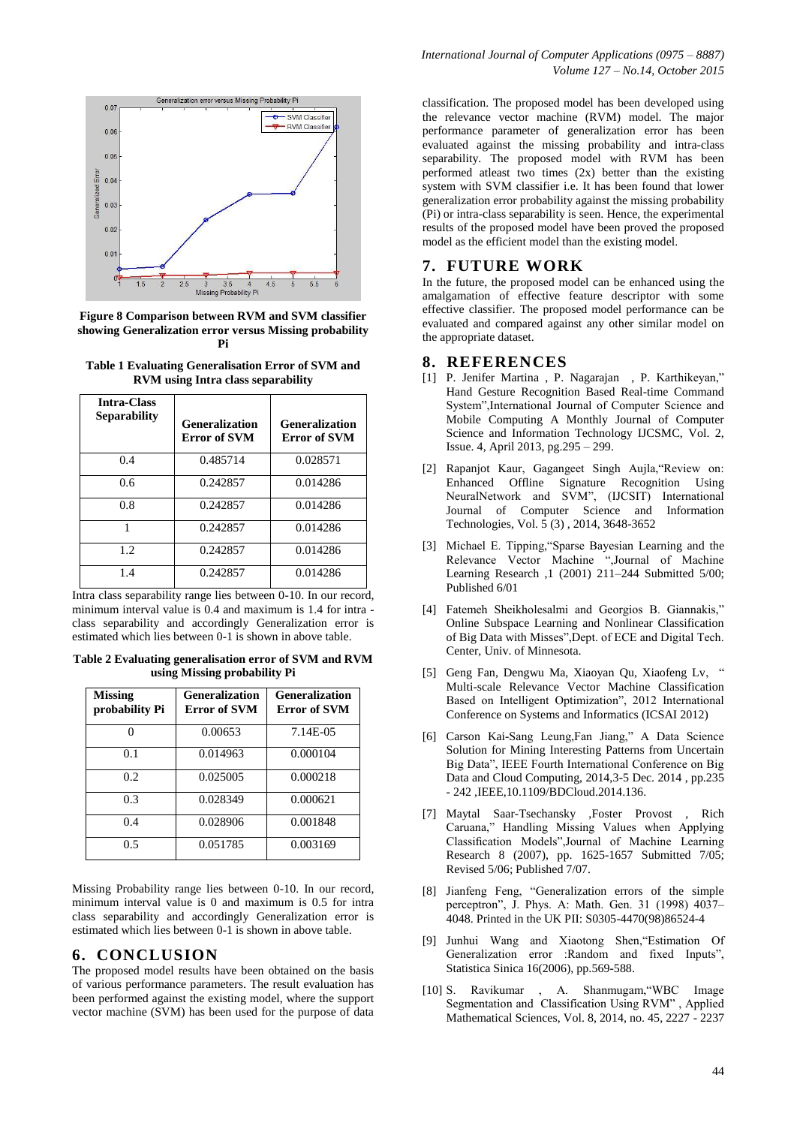

**Figure 8 Comparison between RVM and SVM classifier showing Generalization error versus Missing probability Pi**

**Table 1 Evaluating Generalisation Error of SVM and RVM using Intra class separability**

| <b>Intra-Class</b><br><b>Separability</b> | <b>Generalization</b><br>Error of SVM | <b>Generalization</b><br><b>Error of SVM</b> |
|-------------------------------------------|---------------------------------------|----------------------------------------------|
| 0.4                                       | 0.485714                              | 0.028571                                     |
| 0.6                                       | 0.242857                              | 0.014286                                     |
| 0.8                                       | 0.242857                              | 0.014286                                     |
| 1                                         | 0.242857                              | 0.014286                                     |
| 1.2.                                      | 0.242857                              | 0.014286                                     |
| 1.4                                       | 0.242857                              | 0.014286                                     |

Intra class separability range lies between 0-10. In our record, minimum interval value is 0.4 and maximum is 1.4 for intra class separability and accordingly Generalization error is estimated which lies between 0-1 is shown in above table.

**Table 2 Evaluating generalisation error of SVM and RVM using Missing probability Pi**

| <b>Missing</b><br>probability Pi | <b>Generalization</b><br><b>Error of SVM</b> | <b>Generalization</b><br><b>Error of SVM</b> |
|----------------------------------|----------------------------------------------|----------------------------------------------|
|                                  | 0.00653                                      | 7.14E-05                                     |
| 0.1                              | 0.014963                                     | 0.000104                                     |
| 0.2                              | 0.025005                                     | 0.000218                                     |
| 0.3                              | 0.028349                                     | 0.000621                                     |
| 0.4                              | 0.028906                                     | 0.001848                                     |
| 0.5                              | 0.051785                                     | 0.003169                                     |

Missing Probability range lies between 0-10. In our record, minimum interval value is 0 and maximum is 0.5 for intra class separability and accordingly Generalization error is estimated which lies between 0-1 is shown in above table.

#### **6. CONCLUSION**

The proposed model results have been obtained on the basis of various performance parameters. The result evaluation has been performed against the existing model, where the support vector machine (SVM) has been used for the purpose of data classification. The proposed model has been developed using the relevance vector machine (RVM) model. The major performance parameter of generalization error has been evaluated against the missing probability and intra-class separability. The proposed model with RVM has been performed atleast two times (2x) better than the existing system with SVM classifier i.e. It has been found that lower generalization error probability against the missing probability (Pi) or intra-class separability is seen. Hence, the experimental results of the proposed model have been proved the proposed model as the efficient model than the existing model.

# **7. FUTURE WORK**

In the future, the proposed model can be enhanced using the amalgamation of effective feature descriptor with some effective classifier. The proposed model performance can be evaluated and compared against any other similar model on the appropriate dataset.

# **8. REFERENCES**

- [1] P. Jenifer Martina , P. Nagarajan , P. Karthikeyan," Hand Gesture Recognition Based Real-time Command System",International Journal of Computer Science and Mobile Computing A Monthly Journal of Computer Science and Information Technology IJCSMC, Vol. 2, Issue. 4, April 2013, pg.295 – 299.
- [2] Rapanjot Kaur, Gagangeet Singh Aujla,"Review on: Enhanced Offline Signature Recognition Using NeuralNetwork and SVM", (IJCSIT) International Journal of Computer Science and Information Technologies, Vol. 5 (3) , 2014, 3648-3652
- [3] Michael E. Tipping,"Sparse Bayesian Learning and the Relevance Vector Machine ",Journal of Machine Learning Research ,1 (2001) 211–244 Submitted 5/00; Published 6/01
- [4] Fatemeh Sheikholesalmi and Georgios B. Giannakis," Online Subspace Learning and Nonlinear Classification of Big Data with Misses",Dept. of ECE and Digital Tech. Center, Univ. of Minnesota.
- [5] Geng Fan, Dengwu Ma, Xiaoyan Qu, Xiaofeng Lv, " Multi-scale Relevance Vector Machine Classification Based on Intelligent Optimization", 2012 International Conference on Systems and Informatics (ICSAI 2012)
- [6] Carson Kai-Sang Leung,Fan Jiang," A Data Science Solution for Mining Interesting Patterns from Uncertain Big Data", IEEE Fourth International Conference on Big Data and Cloud Computing, 2014,3-5 Dec. 2014 , pp.235 - 242 ,IEEE,10.1109/BDCloud.2014.136.
- [7] Maytal Saar-Tsechansky ,Foster Provost , Rich Caruana," Handling Missing Values when Applying Classification Models",Journal of Machine Learning Research 8 (2007), pp. 1625-1657 Submitted 7/05; Revised 5/06; Published 7/07.
- [8] Jianfeng Feng, "Generalization errors of the simple perceptron", J. Phys. A: Math. Gen. 31 (1998) 4037– 4048. Printed in the UK PII: S0305-4470(98)86524-4
- [9] Junhui Wang and Xiaotong Shen,"Estimation Of Generalization error :Random and fixed Inputs", Statistica Sinica 16(2006), pp.569-588.
- [10] S. Ravikumar , A. Shanmugam,"WBC Image Segmentation and Classification Using RVM" , Applied Mathematical Sciences, Vol. 8, 2014, no. 45, 2227 - 2237